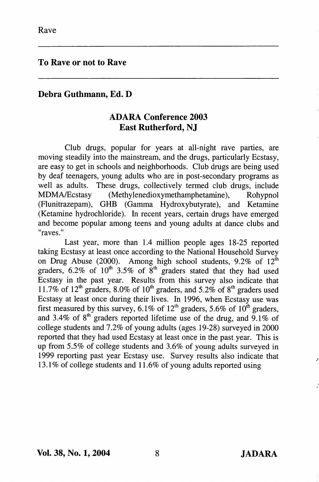To Rave or not to Rave

## Debra Guthmann, Ed. D

## ADARA Conference 2003 East Rutherford, NJ

Club drugs, popular for years at all-night rave parties, are moving steadily into the mainstream, and the drugs, particularly Ecstasy, are easy to get in schools and neighborhoods. Club drugs are being used by deaf teenagers, young adults who are in post-secondary programs as well as adults. These drugs, collectively termed club drugs, include MDMA/Ecstasy (Methylenedioxymethamphetamine), Rohypnol (Flunitrazepam), GHB (Gamma Hydroxybutyrate), and Ketamine (Ketamine hydrochloride). In recent years, certain drugs have emerged and become popular among teens and young adults at dance clubs and "raves."

Last year, more than 1.4 million people ages 18-25 reported taking Ecstasy at least once according to the National Household Survey on Drug Abuse (2000). Among high school students,  $9.2\%$  of  $12^{\text{th}}$ graders,  $6.2\%$  of  $10^{th}$  3.5% of  $8^{th}$  graders stated that they had used Ecstasy in the past year. Results from this survey also indicate that 11.7% of 12<sup>th</sup> graders, 8.0% of 10<sup>th</sup> graders, and 5.2% of 8<sup>th</sup> graders used Ecstasy at least once during their lives. In 1996, when Ecstasy use was first measured by this survey, 6.1% of 12<sup>th</sup> graders, 5.6% of 10<sup>th</sup> graders, and 3.4% of  $8<sup>th</sup>$  graders reported lifetime use of the drug, and 9.1% of college students and 7.2% of young adults (ages 19-28) surveyed in 2000 reported that they had used Ecstasy at least once in the past year. This is up from 5.5% of college students and 3.6% of young adults surveyed in 1999 reporting past year Ecstasy use. Survey results also indicate that 13.1% of college students and 11.6% of young adults reported using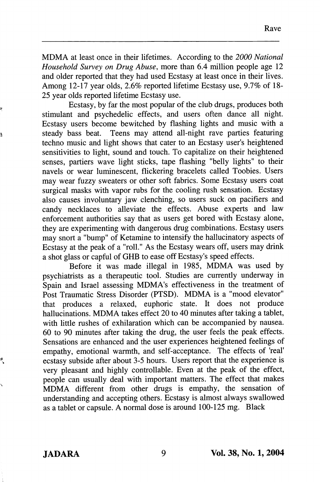MDMA at least once in their lifetimes. According to the 2000 National Household Survey on Drug Abuse, more than 6.4 million people age 12 and older reported that they had used Ecstasy at least once in their lives. Among 12-17 year olds, 2.6% reported lifetime Ecstasy use, 9.7% of 18- 25 year olds reported lifetime Ecstasy use.

Ecstasy, by far the most popular of the club drugs, produces both stimulant and psychedelic effects, and users often dance all night. Ecstasy users become bewitched by flashing lights and music with a steady bass beat. Teens may attend all-night rave parties featuring techno music and light shows that cater to an Ecstasy user's heightened sensitivities to light, sound and touch. To capitalize on their heightened senses, partiers wave light sticks, tape flashing "belly lights" to their navels or wear luminescent, flickering bracelets called Toobies. Users may wear fuzzy sweaters or other soft fabrics. Some Ecstasy users coat surgical masks with vapor rubs for the cooling rush sensation. Ecstasy also causes involuntary jaw clenching, so users suck on pacifiers and candy necklaces to alleviate the effects. Abuse experts and law enforcement authorities say that as users get bored with Ecstasy alone, they are experimenting with dangerous drug combinations. Ecstasy users may snort a "bump" of Ketamine to intensify the hallucinatory aspects of Ecstasy at the peak of a "roll." As the Ecstasy wears off, users may drink a shot glass or capful of GHB to ease off Ecstasy's speed effects.

Before it was made illegal in 1985, MDMA was used by psychiatrists as a therapeutic tool. Studies are currently underway in Spain and Israel assessing MDMA's effectiveness in the treatment of Post Traumatic Stress Disorder (PTSD). MDMA is a "mood elevator" that produces a relaxed, euphoric state. It does not produce hallucinations. MDMA takes effect 20 to 40 minutes after taking a tablet, with little rushes of exhilaration which can be accompanied by nausea. 60 to 90 minutes after taking the drug, the user feels the peak effects. Sensations are enhanced and the user experiences heightened feelings of empathy, emotional warmth, and self-acceptance. The effects of 'real' ecstasy subside after about 3-5 hours. Users report that the experience is very pleasant and highly controllable. Even at the peak of the effect, people can usually deal with important matters. The effect that makes MDMA different from other drugs is empathy, the sensation of understanding and accepting others. Ecstasy is almost always swallowed as a tablet or capsule. A normal dose is around 100-125 mg. Black

ę

à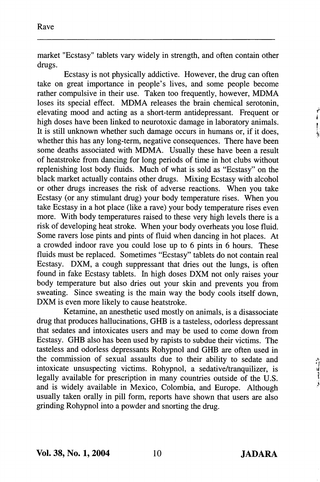market "Ecstasy" tablets vary widely in strength, and often contain other drugs.

Ecstasy is not physically addictive. However, the drug can often take on great importance in people's lives, and some people become rather compulsive in their use. Taken too frequently, however, MDMA loses its special effect. MDMA releases the brain chemical serotonin, elevating mood and acting as a short-term antidepressant. Frequent or high doses have been linked to neurotoxic damage in laboratory animals. It is still unknown whether such damage occurs in humans or, if it does, whether this has any long-term, negative consequences. There have been some deaths associated with MDMA. Usually these have been a result of heatstroke from dancing for long periods of time in hot clubs without replenishing lost body fluids. Much of what is sold as "Ecstasy" on the black market actually contains other drugs. Mixing Ecstasy with alcohol or other drugs increases the risk of adverse reactions. When you take Ecstasy (or any stimulant drug) your body temperature rises. When you take Ecstasy in a hot place (like a rave) your body temperature rises even more. With body temperatures raised to these very high levels there is a risk of developing heat stroke. When your body overheats you lose fluid. Some ravers lose pints and pints of fluid when dancing in hot places. At a crowded indoor rave you could lose up to 6 pints in 6 hours. These fluids must be replaced. Sometimes "Ecstasy" tablets do not contain real Ecstasy. DXM, a cough suppressant that dries out the lungs, is often found in fake Ecstasy tablets. In high doses DXM not only raises your body temperature but also dries out your skin and prevents you from sweating. Since sweating is the main way the body cools itself down, DXM is even more likely to cause heatstroke.

Ketamine, an anesthetic used mostly on animals, is a disassociate drug that produces hallucinations, GHB is a tasteless, odorless depressant that sedates and intoxicates users and may be used to come down from Ecstasy. GHB also has been used by rapists to subdue their victims. The tasteless and odorless depressants Rohypnol and GHB are often used in the commission of sexual assaults due to their ability to sedate and intoxicate unsuspecting victims. Rohypnol, a sedative/tranquilizer, is legally available for prescription in many countries outside of the U.S. and is widely available in Mexico, Colombia, and Europe. Although usually taken orally in pill form, reports have shown that users are also grinding Rohypnol into a powder and snorting the drug.

ř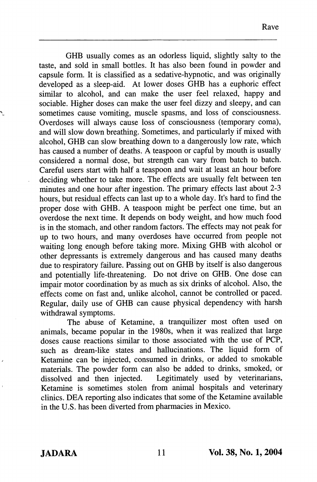GHB usually comes as an odorless liquid, slightly salty to the taste, and sold in small bottles. It has also been found in powder and capsule form. It is classified as a sedative-hypnotic, and was originally developed as a sleep-aid. At lower doses GHB has a euphoric effect similar to alcohol, and can make the user feel relaxed, happy and sociable. Higher doses can make the user feel dizzy and sleepy, and can sometimes cause vomiting, muscle spasms, and loss of consciousness. Overdoses will always cause loss of consciousness (temporary coma), and will slow down breathing. Sometimes, and particularly if mixed with alcohol, GHB can slow breathing down to a dangerously low rate, which has caused a number of deaths. A teaspoon or capful by mouth is usually considered a normal dose, but strength can vary from batch to batch. Careful users start with half a teaspoon and wait at least an hour before deciding whether to take more. The effects are usually felt between ten minutes and one hour after ingestion. The primary effects last about 2-3 hours, but residual effects can last up to a whole day. It's hard to find the proper dose with GHB. A teaspoon might be perfect one time, but an overdose the next time. It depends on body weight, and how much food is in the stomach, and other random factors. The effects may not peak for up to two hours, and many overdoses have occurred from people not waiting long enough before taking more. Mixing GHB with alcohol or other depressants is extremely dangerous and has caused many deaths due to respiratory failure. Passing out on GHB by itself is also dangerous and potentially life-threatening. Do not drive on GHB. One dose can impair motor coordination by as much as six drinks of alcohol. Also, the effects come on fast and, unlike alcohol, cannot be controlled or paced. Regular, daily use of GHB can cause physical dependency with harsh withdrawal symptoms.

The abuse of Ketamine, a tranquilizer most often used on animals, became popular in the 1980s, when it was realized that large doses cause reactions similar to those associated with the use of PCP, such as dream-like states and hallucinations. The liquid form of Ketamine can be injected, consumed in drinks, or added to smokable materials. The powder form can also be added to drinks, smoked, or dissolved and then injected. Legitimately used by veterinarians, Legitimately used by veterinarians, Ketamine is sometimes stolen from animal hospitals and veterinary clinics. DEA reporting also indicates that some of the Ketamine available in the U.S. has been diverted from pharmacies in Mexico.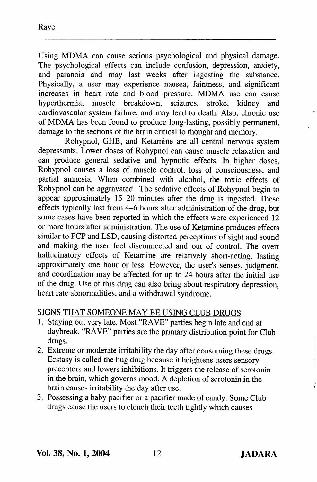Using MDMA can cause serious psychological and physical damage. The psychological effects can include confusion, depression, anxiety, and paranoia and may last weeks after ingesting the substance. Physically, a user may experience nausea, faintness, and significant increases in heart rate and blood pressure. MDMA use can cause hyperthermia, muscle breakdown, seizures, stroke, kidney and hyperthermia, muscle breakdown, seizures, cardiovascular system failure, and may lead to death. Also, chronic use of MDMA has been found to produce long-lasting, possibly permanent, damage to the sections of the brain critical to thought and memory.

Rohypnol, GHB, and Ketamine are all central nervous system depressants. Lower doses of Rohypnol can cause muscle relaxation and can produce general sedative and hypnotic effects. In higher doses, Rohypnol causes a loss of muscle control, loss of consciousness, and partial amnesia. When combined with alcohol, the toxic effects of Rohypnol can be aggravated. The sedative effects of Rohypnol begin to appear approximately 15-20 minutes after the drug is ingested. These effects typically last from 4-6 hours after administration of the drug, but some cases have been reported in which the effects were experienced 12 or more hours after administration. The use of Ketamine produces effects similar to PCP and LSD, causing distorted perceptions of sight and sound and making the user feel disconnected and out of control. The overt hallucinatory effects of Ketamine are relatively short-acting, lasting approximately one hour or less. However, the user's senses, judgment, and coordination may be affected for up to 24 hours after the initial use of the drug. Use of this drug can also bring about respiratory depression, heart rate abnormalities, and a withdrawal syndrome.

## SIGNS THAT SOMEONE MAY BE USING CLUB DRUGS

- 1. Staying out very late. Most "RAVE" parties begin late and end at daybreak. "RAVE" parties are the primary distribution point for Club drugs.
- 2. Extreme or moderate irritability the day after consuming these drugs. Ecstasy is called the hug drug because it heightens users sensory preceptors and lowers inhibitions. It triggers the release of serotonin in the brain, which governs mood. A depletion of serotonin in the brain causes irritability the day after use.
- 3. Possessing a baby pacifier or a pacifier made of candy. Some Club drugs cause the users to clench their teeth tightly which causes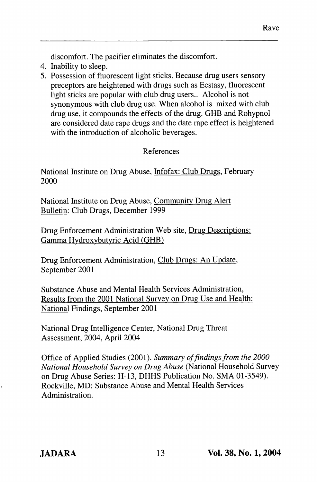discomfort. The pacifier eliminates the discomfort.

- 4. Inability to sleep.
- 5. Possession of fluorescent light sticks. Because drug users sensory preceptors are heightened with drugs such as Ecstasy, fluorescent light sticks are popular with club drug users.. Alcohol is not synonymous with club drug use. When alcohol is mixed with club drug use, it compounds the effects of the drug. GHB and Rohypnol are considered date rape drugs and the date rape effect is heightened with the introduction of alcoholic beverages.

## References

National Institute on Drug Abuse, Infofax: Club Drugs. February 2000

National Institute on Drug Abuse, Communitv Drug Alert Bulletin: Club Drugs. December 1999

Drug Enforcement Administration Web site. Drug Descriptions: Gamma Hvdroxvbutvric Acid (GHB)

Drug Enforcement Administration, Club Drugs: An Update. September 2001

Substance Abuse and Mental Health Services Administration, Results from the 2001 National Survev on Drug Use and Health: National Findings. September 2001

National Drug Intelligence Center, National Drug Threat Assessment, 2004, April 2004

Office of Applied Studies (2001). Summary of findings from the 2000 National Household Survey on Drug Abuse (National Household Survey on Drug Abuse Series: H-I3, DHHS Publication No. SMA 01-3549). Rockville, MD: Substance Abuse and Mental Health Services Administration.